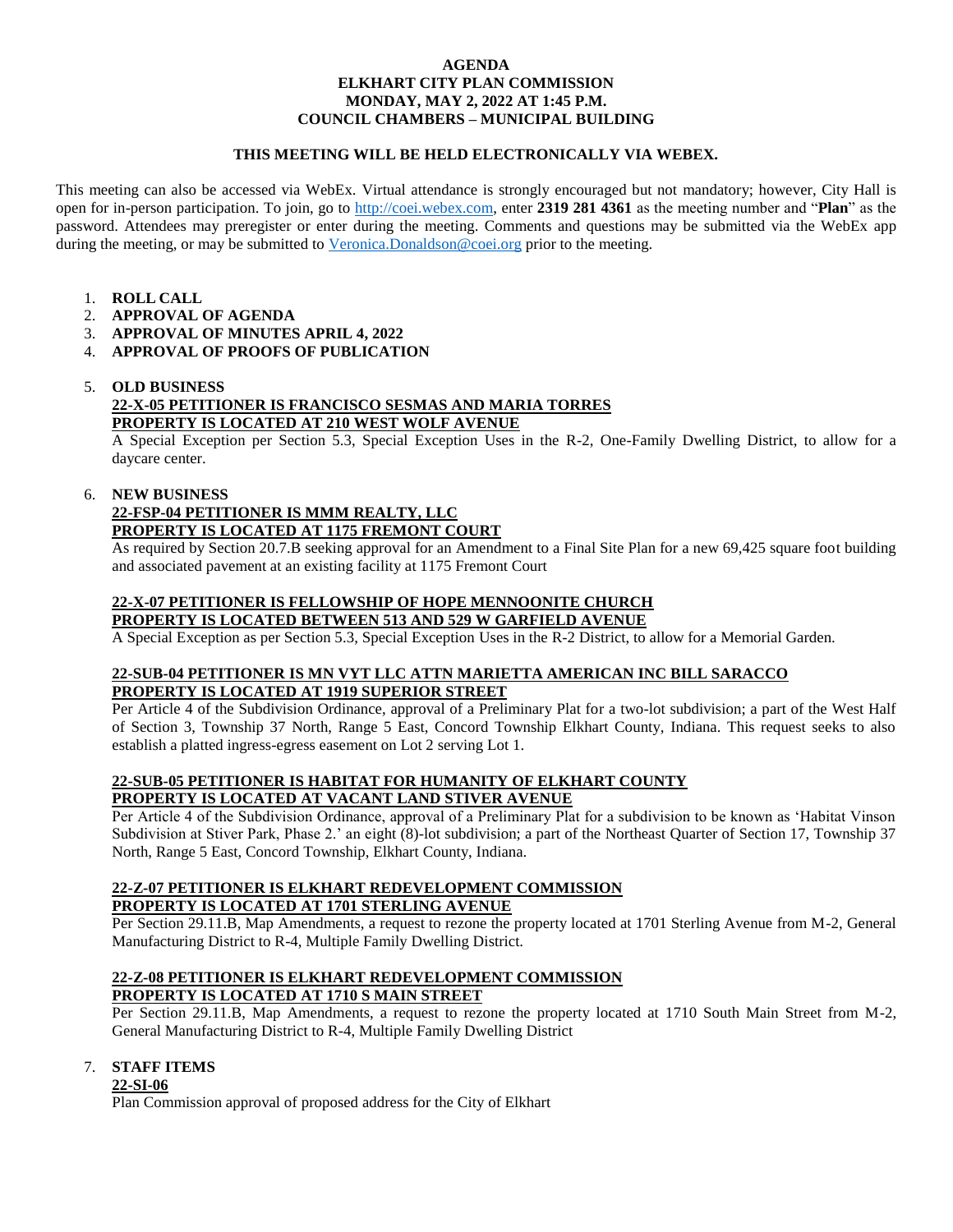#### **AGENDA ELKHART CITY PLAN COMMISSION MONDAY, MAY 2, 2022 AT 1:45 P.M. COUNCIL CHAMBERS – MUNICIPAL BUILDING**

#### **THIS MEETING WILL BE HELD ELECTRONICALLY VIA WEBEX.**

This meeting can also be accessed via WebEx. Virtual attendance is strongly encouraged but not mandatory; however, City Hall is open for in-person participation. To join, go to [http://coei.webex.com,](http://coei.webex.com/) enter **2319 281 4361** as the meeting number and "**Plan**" as the password. Attendees may preregister or enter during the meeting. Comments and questions may be submitted via the WebEx app during the meeting, or may be submitted to [Veronica.Donaldson@coei.org](mailto:Veronica.Donaldson@coei.org) prior to the meeting.

- 1. **ROLL CALL**
- 2. **APPROVAL OF AGENDA**
- 3. **APPROVAL OF MINUTES APRIL 4, 2022**
- 4. **APPROVAL OF PROOFS OF PUBLICATION**

#### 5. **OLD BUSINESS**

## **22-X-05 PETITIONER IS FRANCISCO SESMAS AND MARIA TORRES PROPERTY IS LOCATED AT 210 WEST WOLF AVENUE**

A Special Exception per Section 5.3, Special Exception Uses in the R-2, One-Family Dwelling District, to allow for a daycare center.

#### 6. **NEW BUSINESS 22-FSP-04 PETITIONER IS MMM REALTY, LLC PROPERTY IS LOCATED AT 1175 FREMONT COURT**

As required by Section 20.7.B seeking approval for an Amendment to a Final Site Plan for a new 69,425 square foot building and associated pavement at an existing facility at 1175 Fremont Court

#### **22-X-07 PETITIONER IS FELLOWSHIP OF HOPE MENNOONITE CHURCH PROPERTY IS LOCATED BETWEEN 513 AND 529 W GARFIELD AVENUE**

A Special Exception as per Section 5.3, Special Exception Uses in the R-2 District, to allow for a Memorial Garden.

#### **22-SUB-04 PETITIONER IS MN VYT LLC ATTN MARIETTA AMERICAN INC BILL SARACCO PROPERTY IS LOCATED AT 1919 SUPERIOR STREET**

Per Article 4 of the Subdivision Ordinance, approval of a Preliminary Plat for a two-lot subdivision; a part of the West Half of Section 3, Township 37 North, Range 5 East, Concord Township Elkhart County, Indiana. This request seeks to also establish a platted ingress-egress easement on Lot 2 serving Lot 1.

# **22-SUB-05 PETITIONER IS HABITAT FOR HUMANITY OF ELKHART COUNTY PROPERTY IS LOCATED AT VACANT LAND STIVER AVENUE**

Per Article 4 of the Subdivision Ordinance, approval of a Preliminary Plat for a subdivision to be known as 'Habitat Vinson Subdivision at Stiver Park, Phase 2.' an eight (8)-lot subdivision; a part of the Northeast Quarter of Section 17, Township 37 North, Range 5 East, Concord Township, Elkhart County, Indiana.

## **22-Z-07 PETITIONER IS ELKHART REDEVELOPMENT COMMISSION PROPERTY IS LOCATED AT 1701 STERLING AVENUE**

Per Section 29.11.B, Map Amendments, a request to rezone the property located at 1701 Sterling Avenue from M-2, General Manufacturing District to R-4, Multiple Family Dwelling District.

# **22-Z-08 PETITIONER IS ELKHART REDEVELOPMENT COMMISSION PROPERTY IS LOCATED AT 1710 S MAIN STREET**

Per Section 29.11.B, Map Amendments, a request to rezone the property located at 1710 South Main Street from M-2, General Manufacturing District to R-4, Multiple Family Dwelling District

## 7. **STAFF ITEMS**

# **22-SI-06**

Plan Commission approval of proposed address for the City of Elkhart